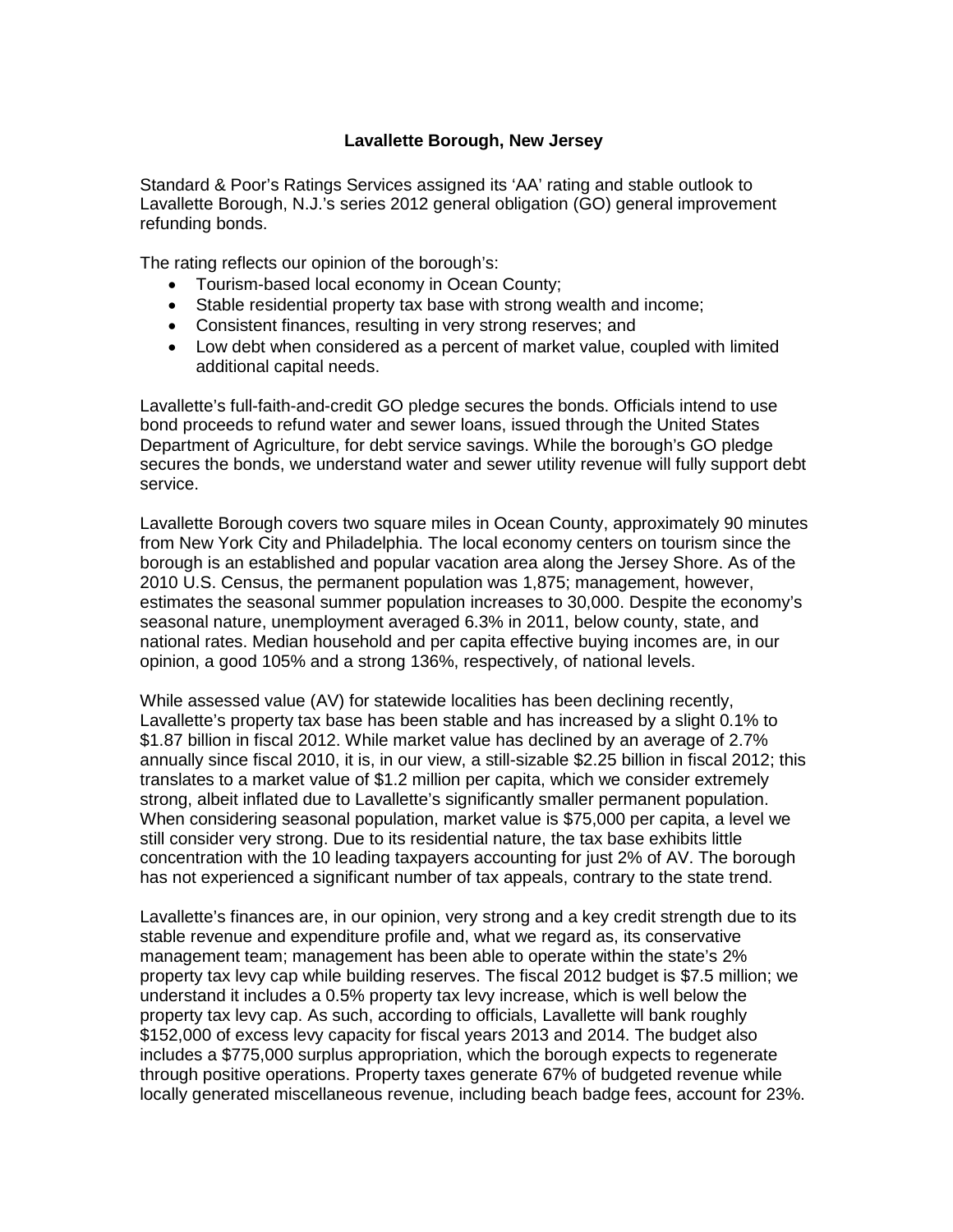## **Lavallette Borough, New Jersey**

Standard & Poor's Ratings Services assigned its 'AA' rating and stable outlook to Lavallette Borough, N.J.'s series 2012 general obligation (GO) general improvement refunding bonds.

The rating reflects our opinion of the borough's:

- Tourism-based local economy in Ocean County;
- Stable residential property tax base with strong wealth and income;
- Consistent finances, resulting in very strong reserves; and
- Low debt when considered as a percent of market value, coupled with limited additional capital needs.

Lavallette's full-faith-and-credit GO pledge secures the bonds. Officials intend to use bond proceeds to refund water and sewer loans, issued through the United States Department of Agriculture, for debt service savings. While the borough's GO pledge secures the bonds, we understand water and sewer utility revenue will fully support debt service.

Lavallette Borough covers two square miles in Ocean County, approximately 90 minutes from New York City and Philadelphia. The local economy centers on tourism since the borough is an established and popular vacation area along the Jersey Shore. As of the 2010 U.S. Census, the permanent population was 1,875; management, however, estimates the seasonal summer population increases to 30,000. Despite the economy's seasonal nature, unemployment averaged 6.3% in 2011, below county, state, and national rates. Median household and per capita effective buying incomes are, in our opinion, a good 105% and a strong 136%, respectively, of national levels.

While assessed value (AV) for statewide localities has been declining recently, Lavallette's property tax base has been stable and has increased by a slight 0.1% to \$1.87 billion in fiscal 2012. While market value has declined by an average of 2.7% annually since fiscal 2010, it is, in our view, a still-sizable \$2.25 billion in fiscal 2012; this translates to a market value of \$1.2 million per capita, which we consider extremely strong, albeit inflated due to Lavallette's significantly smaller permanent population. When considering seasonal population, market value is \$75,000 per capita, a level we still consider very strong. Due to its residential nature, the tax base exhibits little concentration with the 10 leading taxpayers accounting for just 2% of AV. The borough has not experienced a significant number of tax appeals, contrary to the state trend.

Lavallette's finances are, in our opinion, very strong and a key credit strength due to its stable revenue and expenditure profile and, what we regard as, its conservative management team; management has been able to operate within the state's 2% property tax levy cap while building reserves. The fiscal 2012 budget is \$7.5 million; we understand it includes a 0.5% property tax levy increase, which is well below the property tax levy cap. As such, according to officials, Lavallette will bank roughly \$152,000 of excess levy capacity for fiscal years 2013 and 2014. The budget also includes a \$775,000 surplus appropriation, which the borough expects to regenerate through positive operations. Property taxes generate 67% of budgeted revenue while locally generated miscellaneous revenue, including beach badge fees, account for 23%.